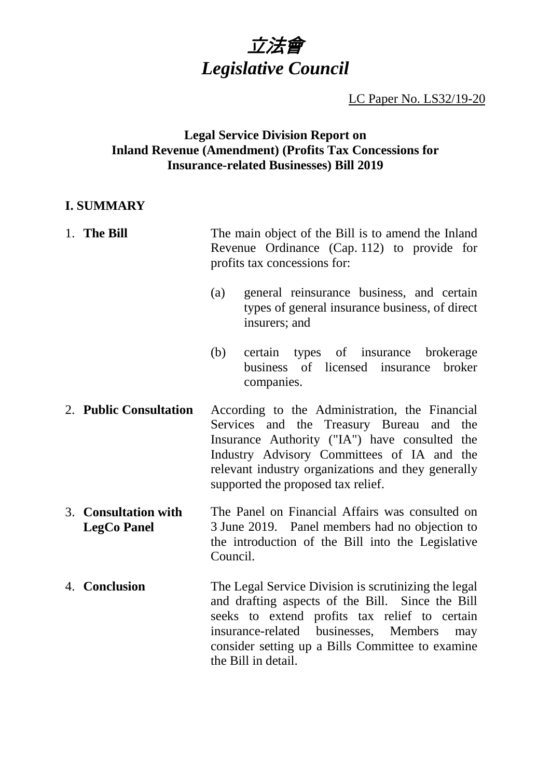

LC Paper No. LS32/19-20

### **Legal Service Division Report on Inland Revenue (Amendment) (Profits Tax Concessions for Insurance-related Businesses) Bill 2019**

### **I. SUMMARY**

- 1. **The Bill** The main object of the Bill is to amend the Inland Revenue Ordinance (Cap. 112) to provide for profits tax concessions for:
	- (a) general reinsurance business, and certain types of general insurance business, of direct insurers; and
	- (b) certain types of insurance brokerage business of licensed insurance broker companies.
- 2. **Public Consultation** According to the Administration, the Financial Services and the Treasury Bureau and the Insurance Authority ("IA") have consulted the Industry Advisory Committees of IA and the relevant industry organizations and they generally supported the proposed tax relief.
- 3. **Consultation with LegCo Panel** The Panel on Financial Affairs was consulted on 3 June 2019. Panel members had no objection to the introduction of the Bill into the Legislative Council.
- 4. **Conclusion** The Legal Service Division is scrutinizing the legal and drafting aspects of the Bill. Since the Bill seeks to extend profits tax relief to certain insurance-related businesses, Members may consider setting up a Bills Committee to examine the Bill in detail.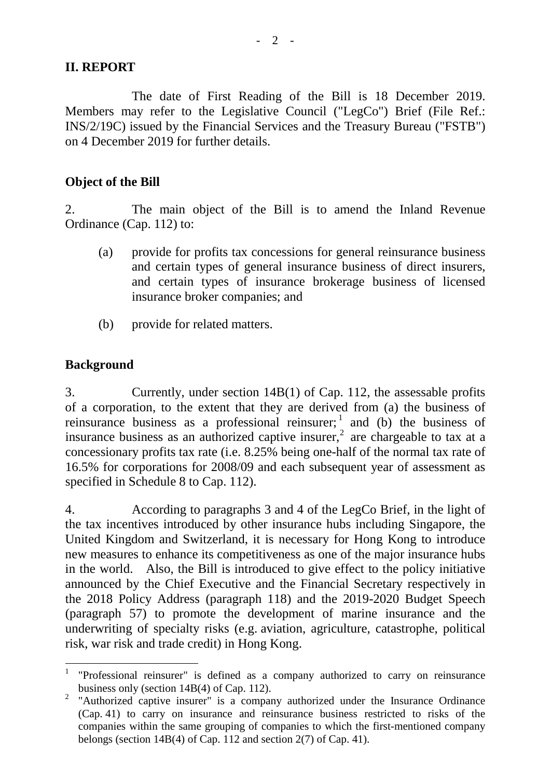### **II. REPORT**

The date of First Reading of the Bill is 18 December 2019. Members may refer to the Legislative Council ("LegCo") Brief (File Ref.: INS/2/19C) issued by the Financial Services and the Treasury Bureau ("FSTB") on 4 December 2019 for further details.

#### **Object of the Bill**

2. The main object of the Bill is to amend the Inland Revenue Ordinance (Cap. 112) to:

- (a) provide for profits tax concessions for general reinsurance business and certain types of general insurance business of direct insurers, and certain types of insurance brokerage business of licensed insurance broker companies; and
- (b) provide for related matters.

### **Background**

3. Currently, under section 14B(1) of Cap. 112, the assessable profits of a corporation, to the extent that they are derived from (a) the business of reinsurance business as a professional reinsurer; and (b) the business of insurance business as an authorized captive insurer,<sup>[2](#page-1-1)</sup> are chargeable to tax at a concessionary profits tax rate (i.e. 8.25% being one-half of the normal tax rate of 16.5% for corporations for 2008/09 and each subsequent year of assessment as specified in Schedule 8 to Cap. 112).

4. According to paragraphs 3 and 4 of the LegCo Brief, in the light of the tax incentives introduced by other insurance hubs including Singapore, the United Kingdom and Switzerland, it is necessary for Hong Kong to introduce new measures to enhance its competitiveness as one of the major insurance hubs in the world. Also, the Bill is introduced to give effect to the policy initiative announced by the Chief Executive and the Financial Secretary respectively in the 2018 Policy Address (paragraph 118) and the 2019-2020 Budget Speech (paragraph 57) to promote the development of marine insurance and the underwriting of specialty risks (e.g. aviation, agriculture, catastrophe, political risk, war risk and trade credit) in Hong Kong.

<span id="page-1-0"></span> <sup>1</sup> "Professional reinsurer" is defined as a company authorized to carry on reinsurance business only (section 14B(4) of Cap. 112).

<span id="page-1-1"></span><sup>&</sup>lt;sup>2</sup> "Authorized captive insurer" is a company authorized under the Insurance Ordinance (Cap. 41) to carry on insurance and reinsurance business restricted to risks of the companies within the same grouping of companies to which the first-mentioned company belongs (section 14B(4) of Cap. 112 and section 2(7) of Cap. 41).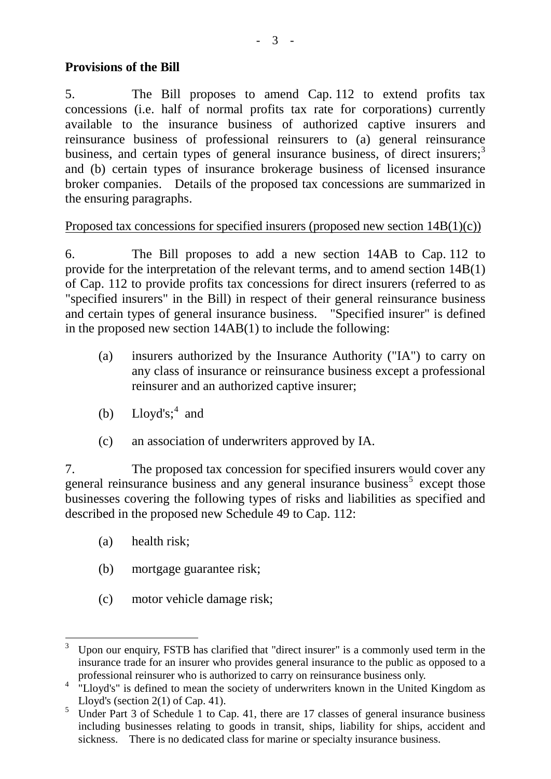## **Provisions of the Bill**

5. The Bill proposes to amend Cap. 112 to extend profits tax concessions (i.e. half of normal profits tax rate for corporations) currently available to the insurance business of authorized captive insurers and reinsurance business of professional reinsurers to (a) general reinsurance business, and certain types of general insurance business, of direct insurers;<sup>[3](#page-2-0)</sup> and (b) certain types of insurance brokerage business of licensed insurance broker companies. Details of the proposed tax concessions are summarized in the ensuring paragraphs.

## Proposed tax concessions for specified insurers (proposed new section 14B(1)(c))

6. The Bill proposes to add a new section 14AB to Cap. 112 to provide for the interpretation of the relevant terms, and to amend section 14B(1) of Cap. 112 to provide profits tax concessions for direct insurers (referred to as "specified insurers" in the Bill) in respect of their general reinsurance business and certain types of general insurance business. "Specified insurer" is defined in the proposed new section 14AB(1) to include the following:

- (a) insurers authorized by the Insurance Authority ("IA") to carry on any class of insurance or reinsurance business except a professional reinsurer and an authorized captive insurer;
- (b)  $Lloyd's; ^4$  $Lloyd's; ^4$  and
- (c) an association of underwriters approved by IA.

7. The proposed tax concession for specified insurers would cover any general reinsurance business and any general insurance business<sup>[5](#page-2-2)</sup> except those businesses covering the following types of risks and liabilities as specified and described in the proposed new Schedule 49 to Cap. 112:

- (a) health risk;
- (b) mortgage guarantee risk;
- (c) motor vehicle damage risk;

<span id="page-2-0"></span>Upon our enquiry, FSTB has clarified that "direct insurer" is a commonly used term in the insurance trade for an insurer who provides general insurance to the public as opposed to a professional reinsurer who is authorized to carry on reinsurance business only.

<span id="page-2-1"></span><sup>&</sup>lt;sup>4</sup> "Lloyd's" is defined to mean the society of underwriters known in the United Kingdom as Lloyd's (section  $2(1)$  of Cap. 41).

<span id="page-2-2"></span><sup>&</sup>lt;sup>5</sup> Under Part 3 of Schedule 1 to Cap. 41, there are 17 classes of general insurance business including businesses relating to goods in transit, ships, liability for ships, accident and sickness. There is no dedicated class for marine or specialty insurance business.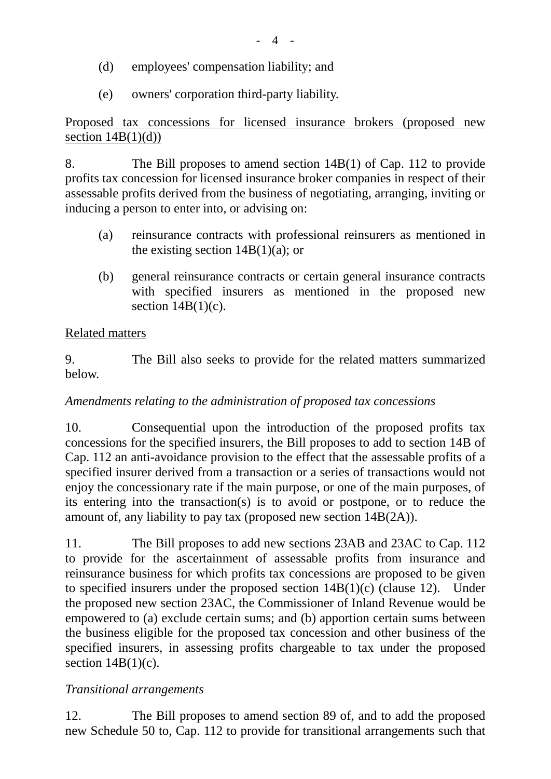- (d) employees' compensation liability; and
- (e) owners' corporation third-party liability.

Proposed tax concessions for licensed insurance brokers (proposed new section  $14B(1)(d)$ )

8. The Bill proposes to amend section 14B(1) of Cap. 112 to provide profits tax concession for licensed insurance broker companies in respect of their assessable profits derived from the business of negotiating, arranging, inviting or inducing a person to enter into, or advising on:

- (a) reinsurance contracts with professional reinsurers as mentioned in the existing section  $14B(1)(a)$ ; or
- (b) general reinsurance contracts or certain general insurance contracts with specified insurers as mentioned in the proposed new section  $14B(1)(c)$ .

# Related matters

9. The Bill also seeks to provide for the related matters summarized below.

# *Amendments relating to the administration of proposed tax concessions*

10. Consequential upon the introduction of the proposed profits tax concessions for the specified insurers, the Bill proposes to add to section 14B of Cap. 112 an anti-avoidance provision to the effect that the assessable profits of a specified insurer derived from a transaction or a series of transactions would not enjoy the concessionary rate if the main purpose, or one of the main purposes, of its entering into the transaction(s) is to avoid or postpone, or to reduce the amount of, any liability to pay tax (proposed new section 14B(2A)).

11. The Bill proposes to add new sections 23AB and 23AC to Cap. 112 to provide for the ascertainment of assessable profits from insurance and reinsurance business for which profits tax concessions are proposed to be given to specified insurers under the proposed section  $14B(1)(c)$  (clause 12). Under the proposed new section 23AC, the Commissioner of Inland Revenue would be empowered to (a) exclude certain sums; and (b) apportion certain sums between the business eligible for the proposed tax concession and other business of the specified insurers, in assessing profits chargeable to tax under the proposed section  $14B(1)(c)$ .

# *Transitional arrangements*

12. The Bill proposes to amend section 89 of, and to add the proposed new Schedule 50 to, Cap. 112 to provide for transitional arrangements such that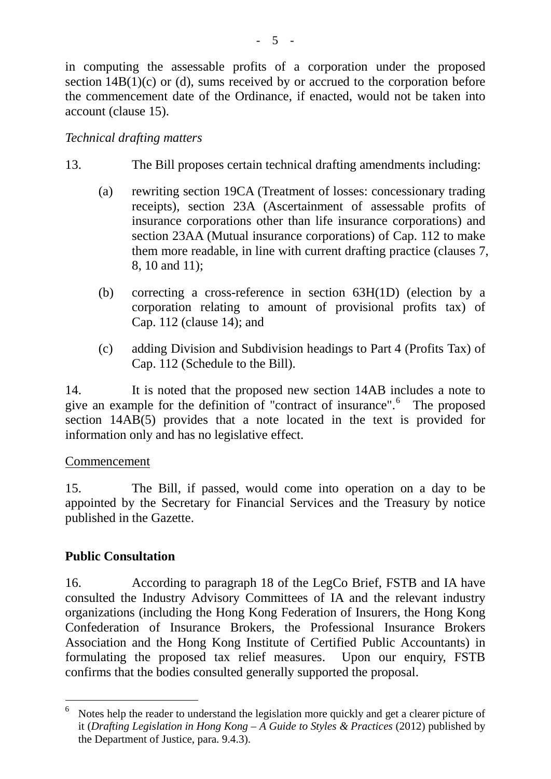in computing the assessable profits of a corporation under the proposed section  $14B(1)(c)$  or (d), sums received by or accrued to the corporation before the commencement date of the Ordinance, if enacted, would not be taken into account (clause 15).

## *Technical drafting matters*

- 13. The Bill proposes certain technical drafting amendments including:
	- (a) rewriting section 19CA (Treatment of losses: concessionary trading receipts), section 23A (Ascertainment of assessable profits of insurance corporations other than life insurance corporations) and section 23AA (Mutual insurance corporations) of Cap. 112 to make them more readable, in line with current drafting practice (clauses 7, 8, 10 and 11);
	- (b) correcting a cross-reference in section 63H(1D) (election by a corporation relating to amount of provisional profits tax) of Cap. 112 (clause 14); and
	- (c) adding Division and Subdivision headings to Part 4 (Profits Tax) of Cap. 112 (Schedule to the Bill).

14. It is noted that the proposed new section 14AB includes a note to give an example for the definition of "contract of insurance". [6](#page-4-0) The proposed section 14AB(5) provides that a note located in the text is provided for information only and has no legislative effect.

### Commencement

15. The Bill, if passed, would come into operation on a day to be appointed by the Secretary for Financial Services and the Treasury by notice published in the Gazette.

# **Public Consultation**

16. According to paragraph 18 of the LegCo Brief, FSTB and IA have consulted the Industry Advisory Committees of IA and the relevant industry organizations (including the Hong Kong Federation of Insurers, the Hong Kong Confederation of Insurance Brokers, the Professional Insurance Brokers Association and the Hong Kong Institute of Certified Public Accountants) in formulating the proposed tax relief measures. Upon our enquiry, FSTB confirms that the bodies consulted generally supported the proposal.

<span id="page-4-0"></span> $6$  Notes help the reader to understand the legislation more quickly and get a clearer picture of it (*Drafting Legislation in Hong Kong – A Guide to Styles & Practices* (2012) published by the Department of Justice, para. 9.4.3).